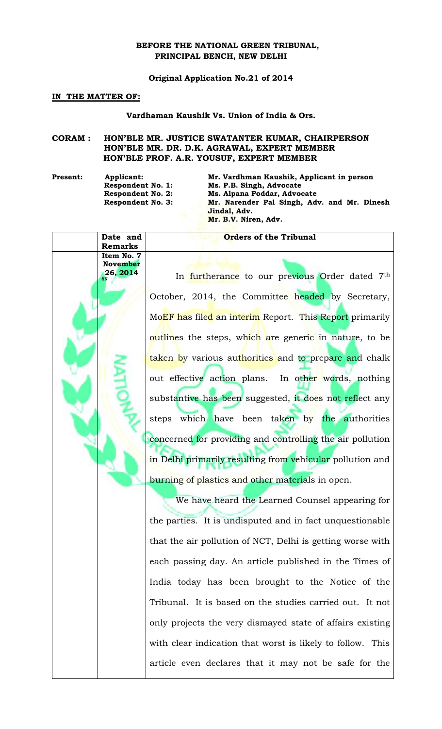## **BEFORE THE NATIONAL GREEN TRIBUNAL, PRINCIPAL BENCH, NEW DELHI**

### **Original Application No.21 of 2014**

#### **IN THE MATTER OF:**

#### **Vardhaman Kaushik Vs. Union of India & Ors.**

# **CORAM : HON'BLE MR. JUSTICE SWATANTER KUMAR, CHAIRPERSON HON'BLE MR. DR. D.K. AGRAWAL, EXPERT MEMBER HON'BLE PROF. A.R. YOUSUF, EXPERT MEMBER**

**Date and Remarks**

**Item No. 7 November 26, 2014**

**Present: Applicant: Mr. Vardhman Kaushik, Applicant in person Ms. P.B. Singh, Advocate Respondent No. 2: Ms. Alpana Poddar, Advocate Respondent No. 3: Mr. Narender Pal Singh, Adv. and Mr. Dinesh Jindal, Adv. Mr. B.V. Niren, Adv.** 

> In furtherance to our previous Order dated 7<sup>th</sup> October, 2014, the Committee headed by Secretary, MoEF has filed an interim Report. This Report primarily outlines the steps, which are generic in nature, to be taken by various authorities and to prepare and chalk out effective action plans. In other words, nothing substantive has been suggested, it does not reflect any steps which have been taken by the authorities concerned for providing and controlling the air pollution in Delhi primarily resulting from vehicular pollution and burning of plastics and other materials in open.

**Orders of the Tribunal**

We have heard the Learned Counsel appearing for the parties. It is undisputed and in fact unquestionable that the air pollution of NCT, Delhi is getting worse with each passing day. An article published in the Times of India today has been brought to the Notice of the Tribunal. It is based on the studies carried out. It not only projects the very dismayed state of affairs existing with clear indication that worst is likely to follow. This article even declares that it may not be safe for the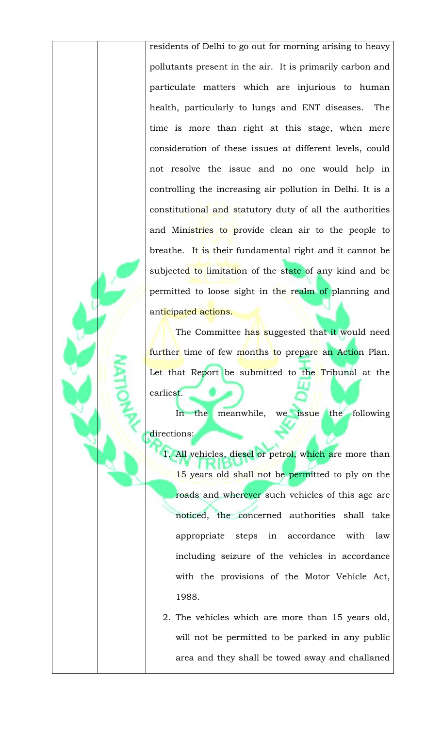residents of Delhi to go out for morning arising to heavy pollutants present in the air. It is primarily carbon and particulate matters which are injurious to human health, particularly to lungs and ENT diseases. The time is more than right at this stage, when mere consideration of these issues at different levels, could not resolve the issue and no one would help in controlling the increasing air pollution in Delhi. It is a constitutional and statutory duty of all the authorities and Ministries to provide clean air to the people to breathe. It is their fundamental right and it cannot be subjected to limitation of the state of any kind and be permitted to loose sight in the realm of planning and anticipated actions.

The Committee has suggested that it would need further time of few months to prepare an Action Plan. Let that Report be submitted to the Tribunal at the earliest.

In the meanwhile, we issue the following directions:

1. All vehicles, diesel or petrol, which are more than 15 years old shall not be permitted to ply on the roads and wherever such vehicles of this age are noticed, the concerned authorities shall take appropriate steps in accordance with law including seizure of the vehicles in accordance with the provisions of the Motor Vehicle Act, 1988.

2. The vehicles which are more than 15 years old, will not be permitted to be parked in any public area and they shall be towed away and challaned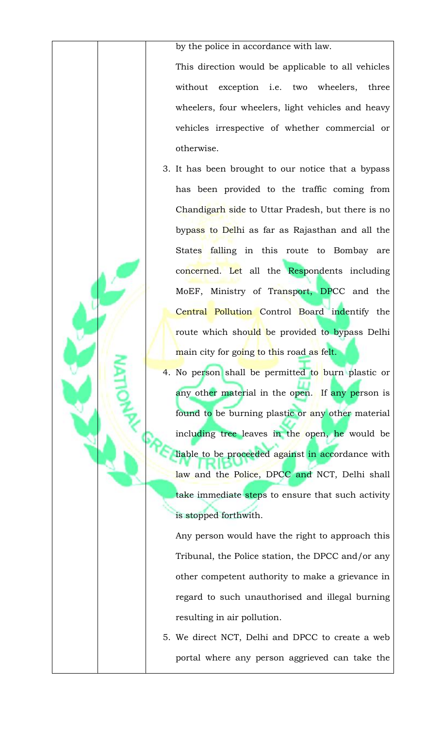by the police in accordance with law.

This direction would be applicable to all vehicles without exception i.e. two wheelers, three wheelers, four wheelers, light vehicles and heavy vehicles irrespective of whether commercial or otherwise.

- 3. It has been brought to our notice that a bypass has been provided to the traffic coming from Chandigarh side to Uttar Pradesh, but there is no bypass to Delhi as far as Rajasthan and all the States falling in this route to Bombay are concerned. Let all the Respondents including MoEF, Ministry of Transport, DPCC and the Central Pollution Control Board indentify the route which should be provided to bypass Delhi main city for going to this road as felt.
- 4. No person shall be permitted to burn plastic or any other material in the open. If any person is found to be burning plastic or any other material including tree leaves in the open, he would be liable to be proceeded against in accordance with law and the Police, DPCC and NCT, Delhi shall take immediate steps to ensure that such activity is stopped forthwith.

Any person would have the right to approach this Tribunal, the Police station, the DPCC and/or any other competent authority to make a grievance in regard to such unauthorised and illegal burning resulting in air pollution.

5. We direct NCT, Delhi and DPCC to create a web portal where any person aggrieved can take the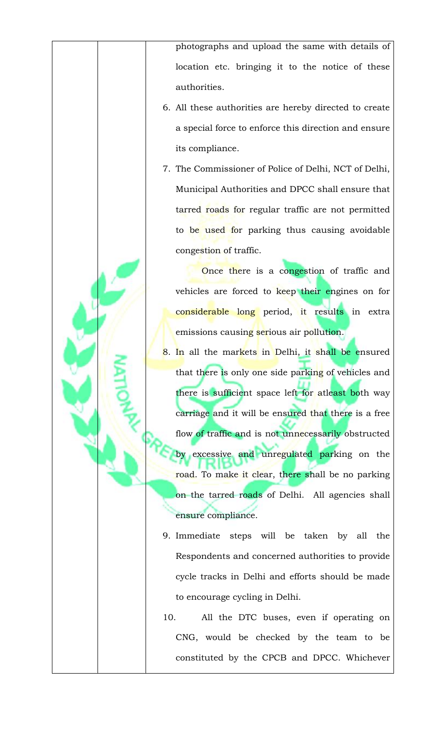photographs and upload the same with details of location etc. bringing it to the notice of these authorities.

- 6. All these authorities are hereby directed to create a special force to enforce this direction and ensure its compliance.
- 7. The Commissioner of Police of Delhi, NCT of Delhi, Municipal Authorities and DPCC shall ensure that tarred roads for regular traffic are not permitted to be used for parking thus causing avoidable congestion of traffic.

Once there is a congestion of traffic and vehicles are forced to keep their engines on for considerable long period, it results in extra emissions causing serious air pollution.

- 8. In all the markets in Delhi, it shall be ensured that there is only one side parking of vehicles and there is sufficient space left for atleast both way carriage and it will be ensured that there is a free flow of traffic and is not unnecessarily obstructed by excessive and unregulated parking on the road. To make it clear, there shall be no parking on the tarred roads of Delhi. All agencies shall ensure compliance.
- 9. Immediate steps will be taken by all the Respondents and concerned authorities to provide cycle tracks in Delhi and efforts should be made to encourage cycling in Delhi.
- 10. All the DTC buses, even if operating on CNG, would be checked by the team to be constituted by the CPCB and DPCC. Whichever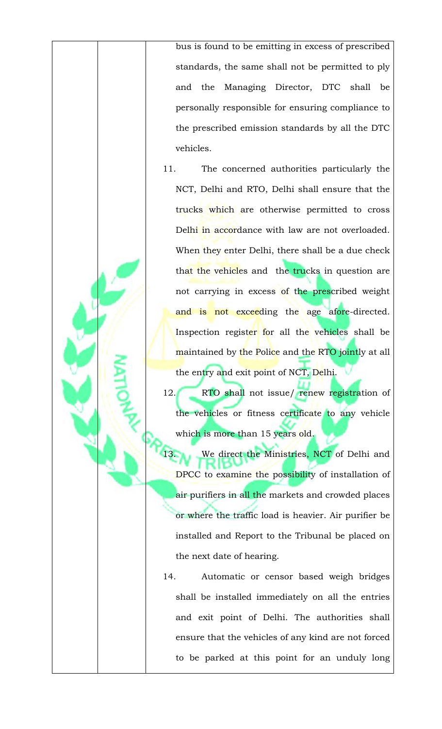bus is found to be emitting in excess of prescribed standards, the same shall not be permitted to ply and the Managing Director, DTC shall be personally responsible for ensuring compliance to the prescribed emission standards by all the DTC vehicles.

11. The concerned authorities particularly the NCT, Delhi and RTO, Delhi shall ensure that the trucks which are otherwise permitted to cross Delhi in accordance with law are not overloaded. When they enter Delhi, there shall be a due check that the vehicles and the trucks in question are not carrying in excess of the prescribed weight and is not exceeding the age afore-directed. Inspection register for all the vehicles shall be maintained by the Police and the RTO jointly at all the entry and exit point of NCT, Delhi.

12. RTO shall not issue/ renew registration of the vehicles or fitness certificate to any vehicle which is more than 15 years old.

We direct the Ministries, NCT of Delhi and DPCC to examine the possibility of installation of air purifiers in all the markets and crowded places or where the traffic load is heavier. Air purifier be installed and Report to the Tribunal be placed on the next date of hearing.

14. Automatic or censor based weigh bridges shall be installed immediately on all the entries and exit point of Delhi. The authorities shall ensure that the vehicles of any kind are not forced to be parked at this point for an unduly long